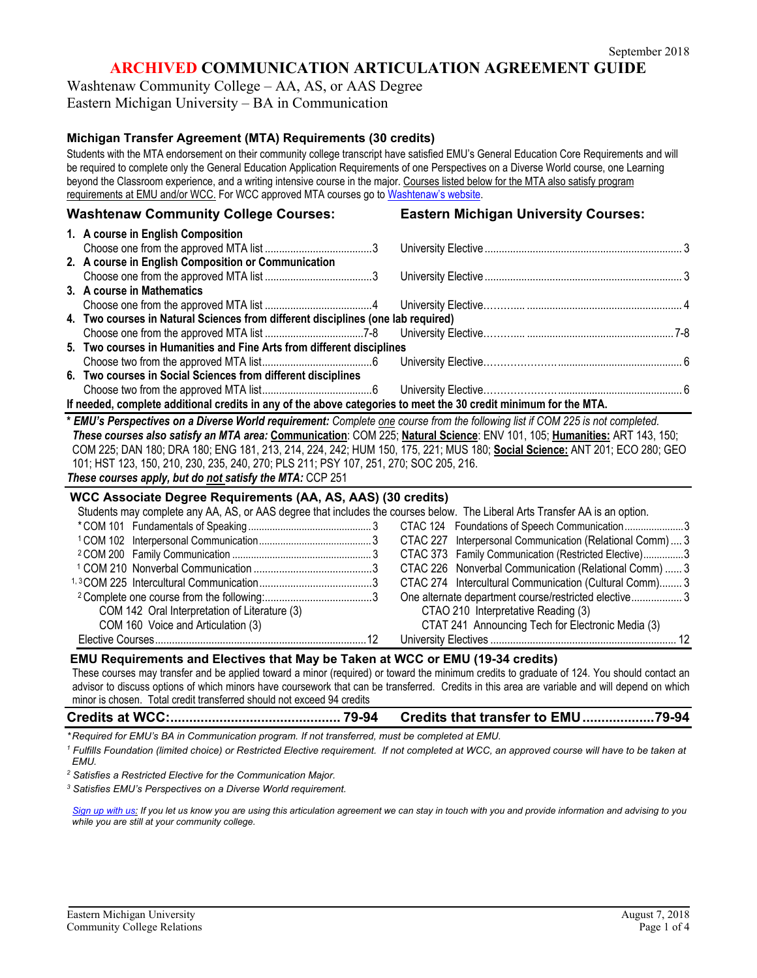## **ARCHIVED COMMUNICATION ARTICULATION AGREEMENT GUIDE**

Washtenaw Community College – AA, AS, or AAS Degree Eastern Michigan University – BA in Communication

## **Michigan Transfer Agreement (MTA) Requirements (30 credits)**

Students with the MTA endorsement on their community college transcript have satisfied EMU's General Education Core Requirements and will be required to complete only the General Education Application Requirements of one Perspectives on a Diverse World course, one Learning beyond the Classroom experience, and a writing intensive course in the major. Courses listed below for the MTA also satisfy program requirements at EMU and/or WCC. For WCC approved MTA courses go to [Washtenaw's website.](http://www.wccnet.edu/services/transferresources/mta/)

## **Washtenaw Community College Courses: Eastern Michigan University Courses:**

|                                                                                                                               | 1. A course in English Composition                                                                                        |  |  |  |  |  |  |
|-------------------------------------------------------------------------------------------------------------------------------|---------------------------------------------------------------------------------------------------------------------------|--|--|--|--|--|--|
|                                                                                                                               |                                                                                                                           |  |  |  |  |  |  |
|                                                                                                                               | 2. A course in English Composition or Communication                                                                       |  |  |  |  |  |  |
|                                                                                                                               |                                                                                                                           |  |  |  |  |  |  |
|                                                                                                                               | 3. A course in Mathematics                                                                                                |  |  |  |  |  |  |
|                                                                                                                               |                                                                                                                           |  |  |  |  |  |  |
|                                                                                                                               | 4. Two courses in Natural Sciences from different disciplines (one lab required)                                          |  |  |  |  |  |  |
|                                                                                                                               |                                                                                                                           |  |  |  |  |  |  |
|                                                                                                                               | 5. Two courses in Humanities and Fine Arts from different disciplines                                                     |  |  |  |  |  |  |
|                                                                                                                               |                                                                                                                           |  |  |  |  |  |  |
|                                                                                                                               | 6. Two courses in Social Sciences from different disciplines                                                              |  |  |  |  |  |  |
|                                                                                                                               |                                                                                                                           |  |  |  |  |  |  |
| If needed, complete additional credits in any of the above categories to meet the 30 credit minimum for the MTA.              |                                                                                                                           |  |  |  |  |  |  |
| * EMU's Perspectives on a Diverse World requirement: Complete one course from the following list if COM 225 is not completed. |                                                                                                                           |  |  |  |  |  |  |
| These courses also satisfy an MTA area: Communication: COM 225; Natural Science: ENV 101, 105; Humanities: ART 143, 150;      |                                                                                                                           |  |  |  |  |  |  |
|                                                                                                                               | COM 225; DAN 180; DRA 180; ENG 181, 213, 214, 224, 242; HUM 150, 175, 221; MUS 180; Social Science: ANT 201; ECO 280; GEO |  |  |  |  |  |  |
| 101; HST 123, 150, 210, 230, 235, 240, 270; PLS 211; PSY 107, 251, 270; SOC 205, 216.                                         |                                                                                                                           |  |  |  |  |  |  |

#### *These courses apply, but do not satisfy the MTA:* CCP 251

### **WCC Associate Degree Requirements (AA, AS, AAS) (30 credits)**

| Students may complete any AA, AS, or AAS degree that includes the courses below. The Liberal Arts Transfer AA is an option. |                                                        |
|-----------------------------------------------------------------------------------------------------------------------------|--------------------------------------------------------|
|                                                                                                                             |                                                        |
|                                                                                                                             |                                                        |
|                                                                                                                             | CTAC 373 Family Communication (Restricted Elective)3   |
|                                                                                                                             | CTAC 226 Nonverbal Communication (Relational Comm)  3  |
|                                                                                                                             | CTAC 274 Intercultural Communication (Cultural Comm) 3 |
|                                                                                                                             |                                                        |
| COM 142 Oral Interpretation of Literature (3)                                                                               | CTAO 210 Interpretative Reading (3)                    |
| COM 160 Voice and Articulation (3)                                                                                          | CTAT 241 Announcing Tech for Electronic Media (3)      |
|                                                                                                                             |                                                        |

#### **EMU Requirements and Electives that May be Taken at WCC or EMU (19-34 credits)**

These courses may transfer and be applied toward a minor (required) or toward the minimum credits to graduate of 124. You should contact an advisor to discuss options of which minors have coursework that can be transferred. Credits in this area are variable and will depend on which minor is chosen. Total credit transferred should not exceed 94 credits

|  | <b>Credits that transfer to EMU79-94</b> |  |
|--|------------------------------------------|--|
|  |                                          |  |

*\* Required for EMU's BA in Communication program. If not transferred, must be completed at EMU.* 

*<sup>1</sup> Fulfills Foundation (limited choice) or Restricted Elective requirement. If not completed at WCC, an approved course will have to be taken at EMU.*

*<sup>2</sup> Satisfies a Restricted Elective for the Communication Major.* 

*<sup>3</sup> Satisfies EMU's Perspectives on a Diverse World requirement.* 

*[Sign up with us:](https://www.emich.edu/ccr/articulation-agreements/signup.php) If you let us know you are using this articulation agreement we can stay in touch with you and provide information and advising to you while you are still at your community college.*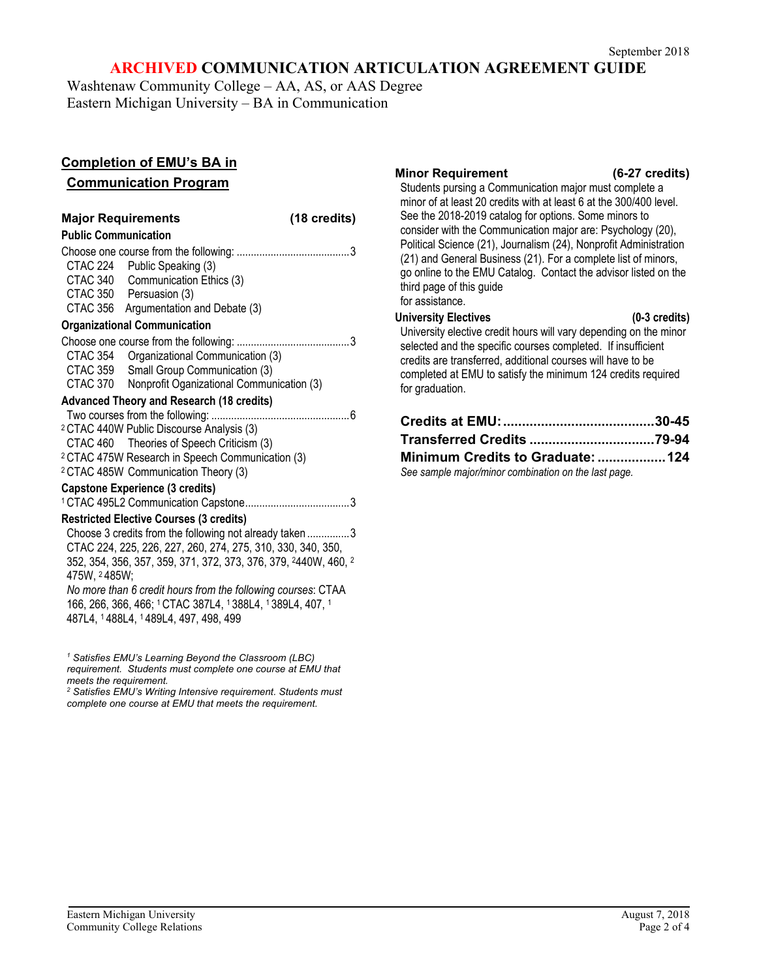## **ARCHIVED COMMUNICATION ARTICULATION AGREEMENT GUIDE**

Washtenaw Community College – AA, AS, or AAS Degree Eastern Michigan University – BA in Communication

## **Completion of EMU's BA in**

## **Communication Program**

| (18 credits)<br><b>Major Requirements</b>                                                                                                                                                                                                                                                                                                                                                                                      |                                                                                                                                                            |  |  |  |  |
|--------------------------------------------------------------------------------------------------------------------------------------------------------------------------------------------------------------------------------------------------------------------------------------------------------------------------------------------------------------------------------------------------------------------------------|------------------------------------------------------------------------------------------------------------------------------------------------------------|--|--|--|--|
| <b>Public Communication</b>                                                                                                                                                                                                                                                                                                                                                                                                    |                                                                                                                                                            |  |  |  |  |
| CTAC 340<br>CTAC 356                                                                                                                                                                                                                                                                                                                                                                                                           | CTAC 224 Public Speaking (3)<br>Communication Ethics (3)<br>CTAC 350 Persuasion (3)<br>Argumentation and Debate (3)<br><b>Organizational Communication</b> |  |  |  |  |
| CTAC 354                                                                                                                                                                                                                                                                                                                                                                                                                       | Organizational Communication (3)<br>CTAC 359 Small Group Communication (3)<br>CTAC 370 Nonprofit Oganizational Communication (3)                           |  |  |  |  |
|                                                                                                                                                                                                                                                                                                                                                                                                                                | <b>Advanced Theory and Research (18 credits)</b>                                                                                                           |  |  |  |  |
| <sup>2</sup> CTAC 440W Public Discourse Analysis (3)<br>CTAC 460 Theories of Speech Criticism (3)<br><sup>2</sup> CTAC 475W Research in Speech Communication (3)<br><sup>2</sup> CTAC 485W Communication Theory (3)                                                                                                                                                                                                            |                                                                                                                                                            |  |  |  |  |
| <b>Capstone Experience (3 credits)</b>                                                                                                                                                                                                                                                                                                                                                                                         |                                                                                                                                                            |  |  |  |  |
|                                                                                                                                                                                                                                                                                                                                                                                                                                |                                                                                                                                                            |  |  |  |  |
| <b>Restricted Elective Courses (3 credits)</b><br>Choose 3 credits from the following not already taken 3<br>CTAC 224, 225, 226, 227, 260, 274, 275, 310, 330, 340, 350,<br>352, 354, 356, 357, 359, 371, 372, 373, 376, 379, 2440W, 460, 2<br>475W, 2485W;<br>No more than 6 credit hours from the following courses: CTAA<br>166, 266, 366, 466; 1CTAC 387L4, 1388L4, 1389L4, 407, 1<br>487L4, 1488L4, 1489L4, 497, 498, 499 |                                                                                                                                                            |  |  |  |  |

*<sup>1</sup> Satisfies EMU's Learning Beyond the Classroom (LBC) requirement. Students must complete one course at EMU that meets the requirement.* 

*<sup>2</sup> Satisfies EMU's Writing Intensive requirement. Students must complete one course at EMU that meets the requirement.*

#### **Minor Requirement (6-27 credits)**

Students pursing a Communication major must complete a minor of at least 20 credits with at least 6 at the 300/400 level. See the 2018-2019 catalog for options. Some minors to consider with the Communication major are: Psychology (20), Political Science (21), Journalism (24), Nonprofit Administration (21) and General Business (21). For a complete list of minors, go online to the EMU Catalog. Contact the advisor listed on the third page of this guide for assistance.

### **University Electives (0-3 credits)**

University elective credit hours will vary depending on the minor selected and the specific courses completed. If insufficient credits are transferred, additional courses will have to be completed at EMU to satisfy the minimum 124 credits required for graduation.

| Minimum Credits to Graduate: 124                     |  |
|------------------------------------------------------|--|
| See sample major/minor combination on the last page. |  |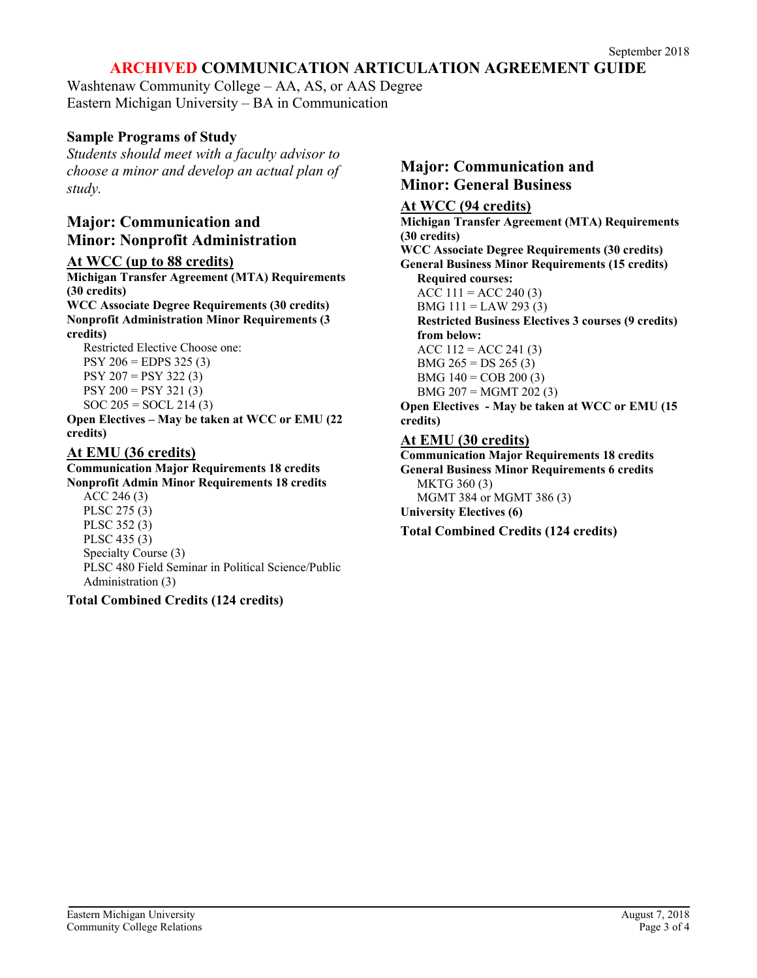# **ARCHIVED COMMUNICATION ARTICULATION AGREEMENT GUIDE**

Washtenaw Community College – AA, AS, or AAS Degree Eastern Michigan University – BA in Communication

## **Sample Programs of Study**

*Students should meet with a faculty advisor to choose a minor and develop an actual plan of study.*

# **Major: Communication and Minor: Nonprofit Administration**

### **At WCC (up to 88 credits)**

**Michigan Transfer Agreement (MTA) Requirements (30 credits) WCC Associate Degree Requirements (30 credits) Nonprofit Administration Minor Requirements (3 credits)**

Restricted Elective Choose one:  $PSY 206 = EDPS 325 (3)$ PSY 207 = PSY 322 (3)  $PSY 200 = PSY 321 (3)$  $SOC 205 = SOCL 214 (3)$ 

**Open Electives – May be taken at WCC or EMU (22 credits)**

## **At EMU (36 credits)**

#### **Communication Major Requirements 18 credits Nonprofit Admin Minor Requirements 18 credits**

ACC 246 (3) PLSC 275 (3) PLSC 352 (3) PLSC 435 (3) Specialty Course (3) PLSC 480 Field Seminar in Political Science/Public Administration (3)

## **Total Combined Credits (124 credits)**

## **Major: Communication and Minor: General Business**

## **At WCC (94 credits)**

**Michigan Transfer Agreement (MTA) Requirements (30 credits) WCC Associate Degree Requirements (30 credits) General Business Minor Requirements (15 credits) Required courses:** ACC  $111 =$ ACC 240 (3) BMG 111 = LAW 293 (3) **Restricted Business Electives 3 courses (9 credits) from below:** ACC  $112 =$ ACC 241 (3) BMG  $265 = DS 265 (3)$ BMG  $140 = COB 200 (3)$ BMG 207 = MGMT 202 (3) **Open Electives - May be taken at WCC or EMU (15 credits) At EMU (30 credits) Communication Major Requirements 18 credits**

**General Business Minor Requirements 6 credits** MKTG 360 (3) MGMT 384 or MGMT 386 (3) **University Electives (6) Total Combined Credits (124 credits)**